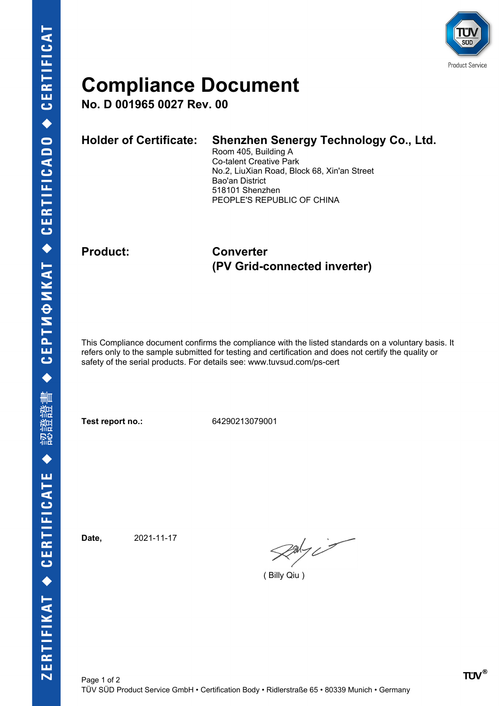

## **Compliance Document**

**No. D 001965 0027 Rev. 00**

| <b>Holder of Certificate:</b> | <b>Shenzhen Senergy Technology Co., Ltd.</b><br>Room 405, Building A<br><b>Co-talent Creative Park</b><br>No.2, LiuXian Road, Block 68, Xin'an Street<br>Bao'an District<br>518101 Shenzhen |
|-------------------------------|---------------------------------------------------------------------------------------------------------------------------------------------------------------------------------------------|
|                               | PEOPLE'S REPUBLIC OF CHINA                                                                                                                                                                  |

### **Product: Converter (PV Grid-connected inverter)**

This Compliance document confirms the compliance with the listed standards on a voluntary basis. It refers only to the sample submitted for testing and certification and does not certify the quality or safety of the serial products. For details see: www.tuvsud.com/ps-cert

**Test report no.:** 64290213079001

**Date,** 2021-11-17

 $\gg$ 

( Billy Qiu )